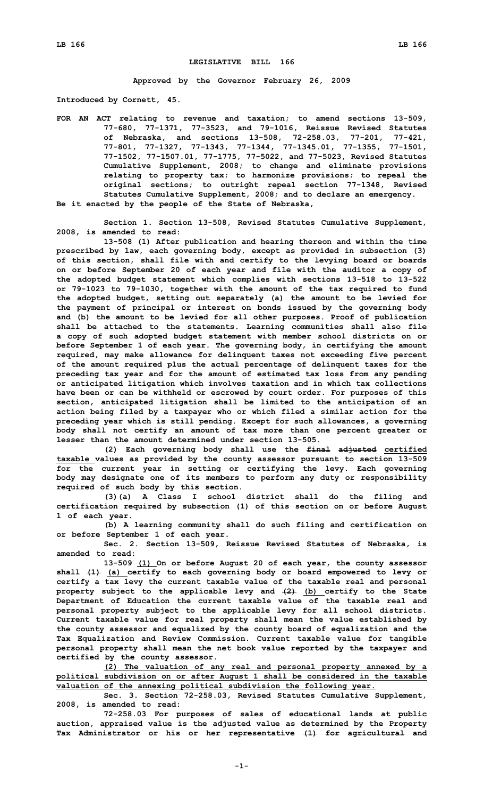## **LEGISLATIVE BILL 166**

**Approved by the Governor February 26, 2009**

**Introduced by Cornett, 45.**

**FOR AN ACT relating to revenue and taxation; to amend sections 13-509, 77-680, 77-1371, 77-3523, and 79-1016, Reissue Revised Statutes of Nebraska, and sections 13-508, 72-258.03, 77-201, 77-421, 77-801, 77-1327, 77-1343, 77-1344, 77-1345.01, 77-1355, 77-1501, 77-1502, 77-1507.01, 77-1775, 77-5022, and 77-5023, Revised Statutes Cumulative Supplement, 2008; to change and eliminate provisions relating to property tax; to harmonize provisions; to repeal the original sections; to outright repeal section 77-1348, Revised Statutes Cumulative Supplement, 2008; and to declare an emergency. Be it enacted by the people of the State of Nebraska,**

**Section 1. Section 13-508, Revised Statutes Cumulative Supplement, 2008, is amended to read:**

**13-508 (1) After publication and hearing thereon and within the time prescribed by law, each governing body, except as provided in subsection (3) of this section, shall file with and certify to the levying board or boards on or before September 20 of each year and file with the auditor <sup>a</sup> copy of the adopted budget statement which complies with sections 13-518 to 13-522 or 79-1023 to 79-1030, together with the amount of the tax required to fund the adopted budget, setting out separately (a) the amount to be levied for the payment of principal or interest on bonds issued by the governing body and (b) the amount to be levied for all other purposes. Proof of publication shall be attached to the statements. Learning communities shall also file <sup>a</sup> copy of such adopted budget statement with member school districts on or before September 1 of each year. The governing body, in certifying the amount required, may make allowance for delinquent taxes not exceeding five percent of the amount required plus the actual percentage of delinquent taxes for the preceding tax year and for the amount of estimated tax loss from any pending or anticipated litigation which involves taxation and in which tax collections have been or can be withheld or escrowed by court order. For purposes of this section, anticipated litigation shall be limited to the anticipation of an action being filed by <sup>a</sup> taxpayer who or which filed <sup>a</sup> similar action for the preceding year which is still pending. Except for such allowances, <sup>a</sup> governing body shall not certify an amount of tax more than one percent greater or lesser than the amount determined under section 13-505.**

**(2) Each governing body shall use the final adjusted certified taxable values as provided by the county assessor pursuant to section 13-509 for the current year in setting or certifying the levy. Each governing body may designate one of its members to perform any duty or responsibility required of such body by this section.**

**(3)(a) <sup>A</sup> Class <sup>I</sup> school district shall do the filing and certification required by subsection (1) of this section on or before August 1 of each year.**

**(b) <sup>A</sup> learning community shall do such filing and certification on or before September 1 of each year.**

**Sec. 2. Section 13-509, Reissue Revised Statutes of Nebraska, is amended to read:**

**13-509 (1) On or before August 20 of each year, the county assessor shall (1) (a) certify to each governing body or board empowered to levy or certify <sup>a</sup> tax levy the current taxable value of the taxable real and personal property subject to the applicable levy and (2) (b) certify to the State Department of Education the current taxable value of the taxable real and personal property subject to the applicable levy for all school districts. Current taxable value for real property shall mean the value established by the county assessor and equalized by the county board of equalization and the Tax Equalization and Review Commission. Current taxable value for tangible personal property shall mean the net book value reported by the taxpayer and certified by the county assessor.**

**(2) The valuation of any real and personal property annexed by <sup>a</sup> political subdivision on or after August 1 shall be considered in the taxable valuation of the annexing political subdivision the following year.**

**Sec. 3. Section 72-258.03, Revised Statutes Cumulative Supplement, 2008, is amended to read:**

**72-258.03 For purposes of sales of educational lands at public auction, appraised value is the adjusted value as determined by the Property Tax Administrator or his or her representative (1) for agricultural and**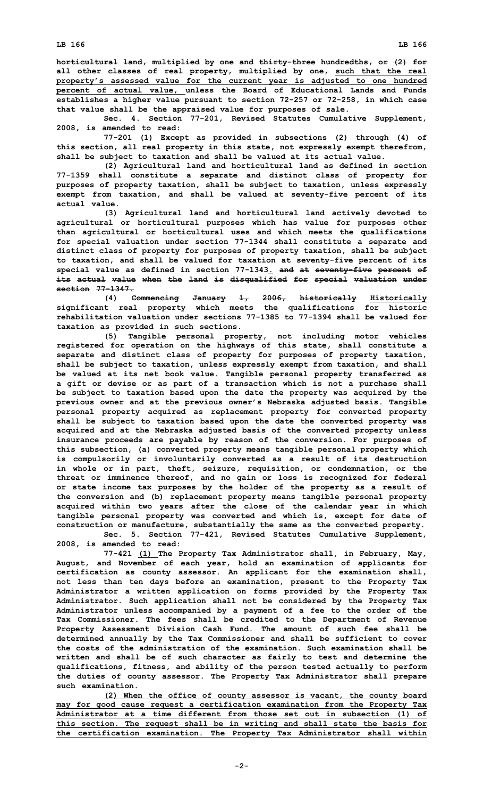**horticultural land, multiplied by one and thirty-three hundredths, or (2) for all other classes of real property, multiplied by one, such that the real property's assessed value for the current year is adjusted to one hundred percent of actual value, unless the Board of Educational Lands and Funds establishes <sup>a</sup> higher value pursuant to section 72-257 or 72-258, in which case**

**that value shall be the appraised value for purposes of sale. Sec. 4. Section 77-201, Revised Statutes Cumulative Supplement, 2008, is amended to read:**

**77-201 (1) Except as provided in subsections (2) through (4) of this section, all real property in this state, not expressly exempt therefrom, shall be subject to taxation and shall be valued at its actual value.**

**(2) Agricultural land and horticultural land as defined in section 77-1359 shall constitute <sup>a</sup> separate and distinct class of property for purposes of property taxation, shall be subject to taxation, unless expressly exempt from taxation, and shall be valued at seventy-five percent of its actual value.**

**(3) Agricultural land and horticultural land actively devoted to agricultural or horticultural purposes which has value for purposes other than agricultural or horticultural uses and which meets the qualifications for special valuation under section 77-1344 shall constitute <sup>a</sup> separate and distinct class of property for purposes of property taxation, shall be subject to taxation, and shall be valued for taxation at seventy-five percent of its special value as defined in section 77-1343. and at seventy-five percent of its actual value when the land is disqualified for special valuation under section 77-1347.**

**(4) Commencing January 1, 2006, historically Historically significant real property which meets the qualifications for historic rehabilitation valuation under sections 77-1385 to 77-1394 shall be valued for taxation as provided in such sections.**

**(5) Tangible personal property, not including motor vehicles registered for operation on the highways of this state, shall constitute <sup>a</sup> separate and distinct class of property for purposes of property taxation, shall be subject to taxation, unless expressly exempt from taxation, and shall be valued at its net book value. Tangible personal property transferred as <sup>a</sup> gift or devise or as part of <sup>a</sup> transaction which is not <sup>a</sup> purchase shall be subject to taxation based upon the date the property was acquired by the previous owner and at the previous owner's Nebraska adjusted basis. Tangible personal property acquired as replacement property for converted property shall be subject to taxation based upon the date the converted property was acquired and at the Nebraska adjusted basis of the converted property unless insurance proceeds are payable by reason of the conversion. For purposes of this subsection, (a) converted property means tangible personal property which is compulsorily or involuntarily converted as <sup>a</sup> result of its destruction in whole or in part, theft, seizure, requisition, or condemnation, or the threat or imminence thereof, and no gain or loss is recognized for federal or state income tax purposes by the holder of the property as <sup>a</sup> result of the conversion and (b) replacement property means tangible personal property acquired within two years after the close of the calendar year in which tangible personal property was converted and which is, except for date of construction or manufacture, substantially the same as the converted property.**

**Sec. 5. Section 77-421, Revised Statutes Cumulative Supplement, 2008, is amended to read:**

**77-421 (1) The Property Tax Administrator shall, in February, May, August, and November of each year, hold an examination of applicants for certification as county assessor. An applicant for the examination shall, not less than ten days before an examination, present to the Property Tax Administrator <sup>a</sup> written application on forms provided by the Property Tax Administrator. Such application shall not be considered by the Property Tax Administrator unless accompanied by <sup>a</sup> payment of <sup>a</sup> fee to the order of the Tax Commissioner. The fees shall be credited to the Department of Revenue Property Assessment Division Cash Fund. The amount of such fee shall be determined annually by the Tax Commissioner and shall be sufficient to cover the costs of the administration of the examination. Such examination shall be written and shall be of such character as fairly to test and determine the qualifications, fitness, and ability of the person tested actually to perform the duties of county assessor. The Property Tax Administrator shall prepare such examination.**

**(2) When the office of county assessor is vacant, the county board may for good cause request <sup>a</sup> certification examination from the Property Tax Administrator at <sup>a</sup> time different from those set out in subsection (1) of this section. The request shall be in writing and shall state the basis for the certification examination. The Property Tax Administrator shall within**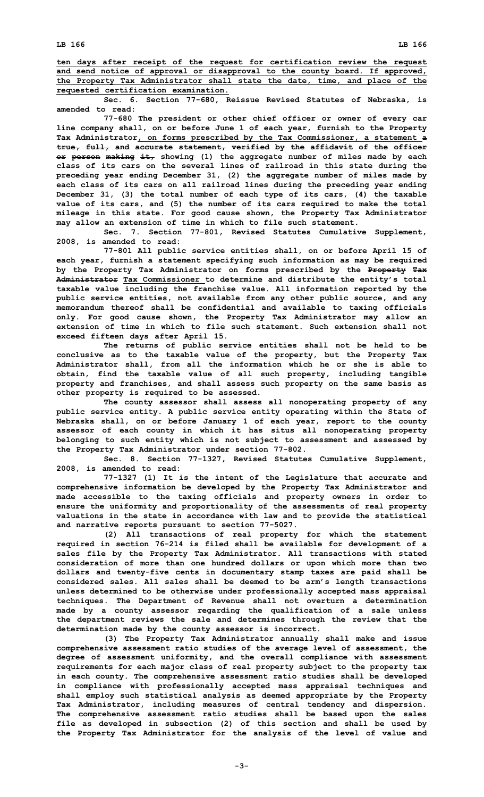**ten days after receipt of the request for certification review the request and send notice of approval or disapproval to the county board. If approved, the Property Tax Administrator shall state the date, time, and place of the requested certification examination.**

**Sec. 6. Section 77-680, Reissue Revised Statutes of Nebraska, is amended to read:**

**77-680 The president or other chief officer or owner of every car line company shall, on or before June 1 of each year, furnish to the Property Tax Administrator, on forms prescribed by the Tax Commissioner, <sup>a</sup> statement <sup>a</sup> true, full, and accurate statement, verified by the affidavit of the officer or person making it, showing (1) the aggregate number of miles made by each class of its cars on the several lines of railroad in this state during the preceding year ending December 31, (2) the aggregate number of miles made by each class of its cars on all railroad lines during the preceding year ending December 31, (3) the total number of each type of its cars, (4) the taxable value of its cars, and (5) the number of its cars required to make the total mileage in this state. For good cause shown, the Property Tax Administrator may allow an extension of time in which to file such statement.**

**Sec. 7. Section 77-801, Revised Statutes Cumulative Supplement, 2008, is amended to read:**

**77-801 All public service entities shall, on or before April 15 of each year, furnish <sup>a</sup> statement specifying such information as may be required by the Property Tax Administrator on forms prescribed by the Property Tax Administrator Tax Commissioner to determine and distribute the entity's total taxable value including the franchise value. All information reported by the public service entities, not available from any other public source, and any memorandum thereof shall be confidential and available to taxing officials only. For good cause shown, the Property Tax Administrator may allow an extension of time in which to file such statement. Such extension shall not exceed fifteen days after April 15.**

**The returns of public service entities shall not be held to be conclusive as to the taxable value of the property, but the Property Tax Administrator shall, from all the information which he or she is able to obtain, find the taxable value of all such property, including tangible property and franchises, and shall assess such property on the same basis as other property is required to be assessed.**

**The county assessor shall assess all nonoperating property of any public service entity. A public service entity operating within the State of Nebraska shall, on or before January 1 of each year, report to the county assessor of each county in which it has situs all nonoperating property belonging to such entity which is not subject to assessment and assessed by the Property Tax Administrator under section 77-802.**

**Sec. 8. Section 77-1327, Revised Statutes Cumulative Supplement, 2008, is amended to read:**

**77-1327 (1) It is the intent of the Legislature that accurate and comprehensive information be developed by the Property Tax Administrator and made accessible to the taxing officials and property owners in order to ensure the uniformity and proportionality of the assessments of real property valuations in the state in accordance with law and to provide the statistical and narrative reports pursuant to section 77-5027.**

**(2) All transactions of real property for which the statement required in section 76-214 is filed shall be available for development of <sup>a</sup> sales file by the Property Tax Administrator. All transactions with stated consideration of more than one hundred dollars or upon which more than two dollars and twenty-five cents in documentary stamp taxes are paid shall be considered sales. All sales shall be deemed to be arm's length transactions unless determined to be otherwise under professionally accepted mass appraisal techniques. The Department of Revenue shall not overturn <sup>a</sup> determination made by <sup>a</sup> county assessor regarding the qualification of <sup>a</sup> sale unless the department reviews the sale and determines through the review that the determination made by the county assessor is incorrect.**

**(3) The Property Tax Administrator annually shall make and issue comprehensive assessment ratio studies of the average level of assessment, the degree of assessment uniformity, and the overall compliance with assessment requirements for each major class of real property subject to the property tax in each county. The comprehensive assessment ratio studies shall be developed in compliance with professionally accepted mass appraisal techniques and shall employ such statistical analysis as deemed appropriate by the Property Tax Administrator, including measures of central tendency and dispersion. The comprehensive assessment ratio studies shall be based upon the sales file as developed in subsection (2) of this section and shall be used by the Property Tax Administrator for the analysis of the level of value and**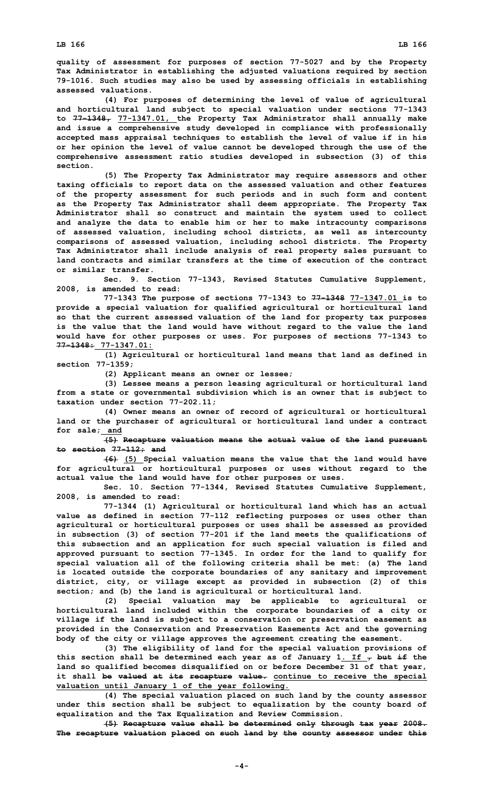**quality of assessment for purposes of section 77-5027 and by the Property Tax Administrator in establishing the adjusted valuations required by section 79-1016. Such studies may also be used by assessing officials in establishing assessed valuations.**

**(4) For purposes of determining the level of value of agricultural and horticultural land subject to special valuation under sections 77-1343 to 77-1348, 77-1347.01, the Property Tax Administrator shall annually make and issue <sup>a</sup> comprehensive study developed in compliance with professionally accepted mass appraisal techniques to establish the level of value if in his or her opinion the level of value cannot be developed through the use of the comprehensive assessment ratio studies developed in subsection (3) of this section.**

**(5) The Property Tax Administrator may require assessors and other taxing officials to report data on the assessed valuation and other features of the property assessment for such periods and in such form and content as the Property Tax Administrator shall deem appropriate. The Property Tax Administrator shall so construct and maintain the system used to collect and analyze the data to enable him or her to make intracounty comparisons of assessed valuation, including school districts, as well as intercounty comparisons of assessed valuation, including school districts. The Property Tax Administrator shall include analysis of real property sales pursuant to land contracts and similar transfers at the time of execution of the contract or similar transfer.**

**Sec. 9. Section 77-1343, Revised Statutes Cumulative Supplement, 2008, is amended to read:**

**77-1343 The purpose of sections 77-1343 to 77-1348 77-1347.01 is to provide <sup>a</sup> special valuation for qualified agricultural or horticultural land so that the current assessed valuation of the land for property tax purposes is the value that the land would have without regard to the value the land would have for other purposes or uses. For purposes of sections 77-1343 to 77-1348: 77-1347.01:**

**(1) Agricultural or horticultural land means that land as defined in section 77-1359;**

**(2) Applicant means an owner or lessee;**

**(3) Lessee means <sup>a</sup> person leasing agricultural or horticultural land from <sup>a</sup> state or governmental subdivision which is an owner that is subject to taxation under section 77-202.11;**

**(4) Owner means an owner of record of agricultural or horticultural land or the purchaser of agricultural or horticultural land under <sup>a</sup> contract for sale; and**

**(5) Recapture valuation means the actual value of the land pursuant to section 77-112; and**

**(6) (5) Special valuation means the value that the land would have for agricultural or horticultural purposes or uses without regard to the actual value the land would have for other purposes or uses.**

**Sec. 10. Section 77-1344, Revised Statutes Cumulative Supplement, 2008, is amended to read:**

**77-1344 (1) Agricultural or horticultural land which has an actual value as defined in section 77-112 reflecting purposes or uses other than agricultural or horticultural purposes or uses shall be assessed as provided in subsection (3) of section 77-201 if the land meets the qualifications of this subsection and an application for such special valuation is filed and approved pursuant to section 77-1345. In order for the land to qualify for special valuation all of the following criteria shall be met: (a) The land is located outside the corporate boundaries of any sanitary and improvement district, city, or village except as provided in subsection (2) of this section; and (b) the land is agricultural or horticultural land.**

**(2) Special valuation may be applicable to agricultural or horticultural land included within the corporate boundaries of <sup>a</sup> city or village if the land is subject to <sup>a</sup> conservation or preservation easement as provided in the Conservation and Preservation Easements Act and the governing body of the city or village approves the agreement creating the easement.**

**(3) The eligibility of land for the special valuation provisions of this section shall be determined each year as of January 1. If , but if the land so qualified becomes disqualified on or before December 31 of that year, it shall be valued at its recapture value. continue to receive the special valuation until January 1 of the year following.**

**(4) The special valuation placed on such land by the county assessor under this section shall be subject to equalization by the county board of equalization and the Tax Equalization and Review Commission.**

**(5) Recapture value shall be determined only through tax year 2008. The recapture valuation placed on such land by the county assessor under this**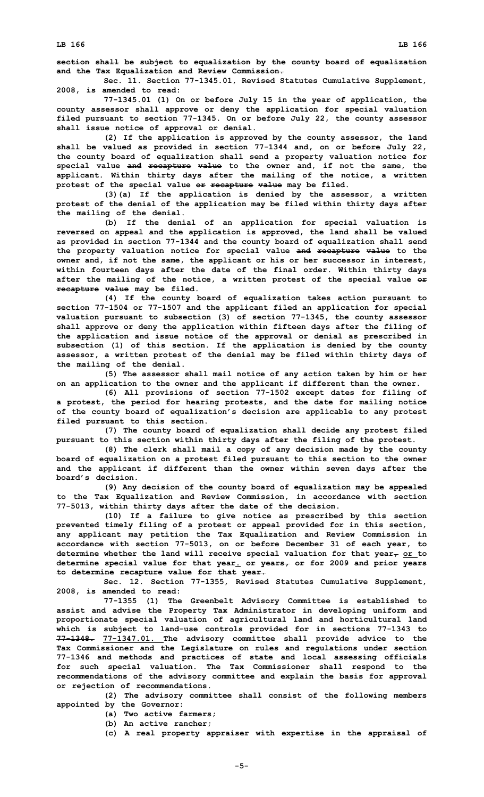**Sec. 11. Section 77-1345.01, Revised Statutes Cumulative Supplement, 2008, is amended to read:**

**77-1345.01 (1) On or before July 15 in the year of application, the county assessor shall approve or deny the application for special valuation filed pursuant to section 77-1345. On or before July 22, the county assessor shall issue notice of approval or denial.**

**(2) If the application is approved by the county assessor, the land shall be valued as provided in section 77-1344 and, on or before July 22, the county board of equalization shall send <sup>a</sup> property valuation notice for special value and recapture value to the owner and, if not the same, the applicant. Within thirty days after the mailing of the notice, <sup>a</sup> written protest of the special value or recapture value may be filed.**

**(3)(a) If the application is denied by the assessor, <sup>a</sup> written protest of the denial of the application may be filed within thirty days after the mailing of the denial.**

**(b) If the denial of an application for special valuation is reversed on appeal and the application is approved, the land shall be valued as provided in section 77-1344 and the county board of equalization shall send the property valuation notice for special value and recapture value to the owner and, if not the same, the applicant or his or her successor in interest, within fourteen days after the date of the final order. Within thirty days after the mailing of the notice, <sup>a</sup> written protest of the special value or recapture value may be filed.**

**(4) If the county board of equalization takes action pursuant to section 77-1504 or 77-1507 and the applicant filed an application for special valuation pursuant to subsection (3) of section 77-1345, the county assessor shall approve or deny the application within fifteen days after the filing of the application and issue notice of the approval or denial as prescribed in subsection (1) of this section. If the application is denied by the county assessor, <sup>a</sup> written protest of the denial may be filed within thirty days of the mailing of the denial.**

**(5) The assessor shall mail notice of any action taken by him or her on an application to the owner and the applicant if different than the owner.**

**(6) All provisions of section 77-1502 except dates for filing of <sup>a</sup> protest, the period for hearing protests, and the date for mailing notice of the county board of equalization's decision are applicable to any protest filed pursuant to this section.**

**(7) The county board of equalization shall decide any protest filed pursuant to this section within thirty days after the filing of the protest.**

**(8) The clerk shall mail <sup>a</sup> copy of any decision made by the county board of equalization on <sup>a</sup> protest filed pursuant to this section to the owner and the applicant if different than the owner within seven days after the board's decision.**

**(9) Any decision of the county board of equalization may be appealed to the Tax Equalization and Review Commission, in accordance with section 77-5013, within thirty days after the date of the decision.**

**(10) If <sup>a</sup> failure to give notice as prescribed by this section prevented timely filing of <sup>a</sup> protest or appeal provided for in this section, any applicant may petition the Tax Equalization and Review Commission in accordance with section 77-5013, on or before December 31 of each year, to determine whether the land will receive special valuation for that year, or to determine special value for that year. or years, or for 2009 and prior years to determine recapture value for that year.**

**Sec. 12. Section 77-1355, Revised Statutes Cumulative Supplement, 2008, is amended to read:**

**77-1355 (1) The Greenbelt Advisory Committee is established to assist and advise the Property Tax Administrator in developing uniform and proportionate special valuation of agricultural land and horticultural land which is subject to land-use controls provided for in sections 77-1343 to 77-1348. 77-1347.01. The advisory committee shall provide advice to the Tax Commissioner and the Legislature on rules and regulations under section 77-1346 and methods and practices of state and local assessing officials for such special valuation. The Tax Commissioner shall respond to the recommendations of the advisory committee and explain the basis for approval or rejection of recommendations.**

**(2) The advisory committee shall consist of the following members appointed by the Governor:**

**(a) Two active farmers;**

**(b) An active rancher;**

**(c) <sup>A</sup> real property appraiser with expertise in the appraisal of**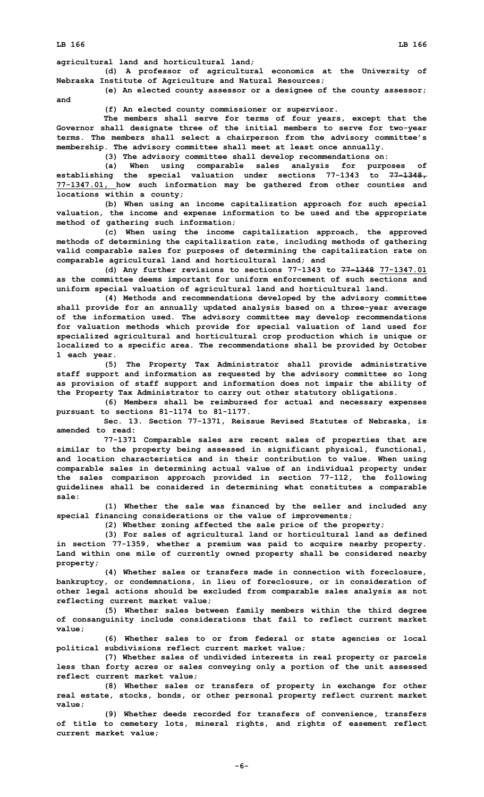**LB 166 LB 166**

**agricultural land and horticultural land;**

**(d) <sup>A</sup> professor of agricultural economics at the University of Nebraska Institute of Agriculture and Natural Resources;**

**(e) An elected county assessor or <sup>a</sup> designee of the county assessor; and**

**(f) An elected county commissioner or supervisor.**

**The members shall serve for terms of four years, except that the Governor shall designate three of the initial members to serve for two-year terms. The members shall select <sup>a</sup> chairperson from the advisory committee's membership. The advisory committee shall meet at least once annually.**

**(3) The advisory committee shall develop recommendations on:**

**(a) When using comparable sales analysis for purposes of establishing the special valuation under sections 77-1343 to 77-1348, 77-1347.01, how such information may be gathered from other counties and locations within <sup>a</sup> county;**

**(b) When using an income capitalization approach for such special valuation, the income and expense information to be used and the appropriate method of gathering such information;**

**(c) When using the income capitalization approach, the approved methods of determining the capitalization rate, including methods of gathering valid comparable sales for purposes of determining the capitalization rate on comparable agricultural land and horticultural land; and**

**(d) Any further revisions to sections 77-1343 to 77-1348 77-1347.01 as the committee deems important for uniform enforcement of such sections and uniform special valuation of agricultural land and horticultural land.**

**(4) Methods and recommendations developed by the advisory committee shall provide for an annually updated analysis based on <sup>a</sup> three-year average of the information used. The advisory committee may develop recommendations for valuation methods which provide for special valuation of land used for specialized agricultural and horticultural crop production which is unique or localized to <sup>a</sup> specific area. The recommendations shall be provided by October 1 each year.**

**(5) The Property Tax Administrator shall provide administrative staff support and information as requested by the advisory committee so long as provision of staff support and information does not impair the ability of the Property Tax Administrator to carry out other statutory obligations.**

**(6) Members shall be reimbursed for actual and necessary expenses pursuant to sections 81-1174 to 81-1177.**

**Sec. 13. Section 77-1371, Reissue Revised Statutes of Nebraska, is amended to read:**

**77-1371 Comparable sales are recent sales of properties that are similar to the property being assessed in significant physical, functional, and location characteristics and in their contribution to value. When using comparable sales in determining actual value of an individual property under the sales comparison approach provided in section 77-112, the following guidelines shall be considered in determining what constitutes <sup>a</sup> comparable sale:**

**(1) Whether the sale was financed by the seller and included any special financing considerations or the value of improvements;**

**(2) Whether zoning affected the sale price of the property;**

**(3) For sales of agricultural land or horticultural land as defined in section 77-1359, whether <sup>a</sup> premium was paid to acquire nearby property. Land within one mile of currently owned property shall be considered nearby property;**

**(4) Whether sales or transfers made in connection with foreclosure, bankruptcy, or condemnations, in lieu of foreclosure, or in consideration of other legal actions should be excluded from comparable sales analysis as not reflecting current market value;**

**(5) Whether sales between family members within the third degree of consanguinity include considerations that fail to reflect current market value;**

**(6) Whether sales to or from federal or state agencies or local political subdivisions reflect current market value;**

**(7) Whether sales of undivided interests in real property or parcels less than forty acres or sales conveying only <sup>a</sup> portion of the unit assessed reflect current market value;**

**(8) Whether sales or transfers of property in exchange for other real estate, stocks, bonds, or other personal property reflect current market value;**

**(9) Whether deeds recorded for transfers of convenience, transfers of title to cemetery lots, mineral rights, and rights of easement reflect current market value;**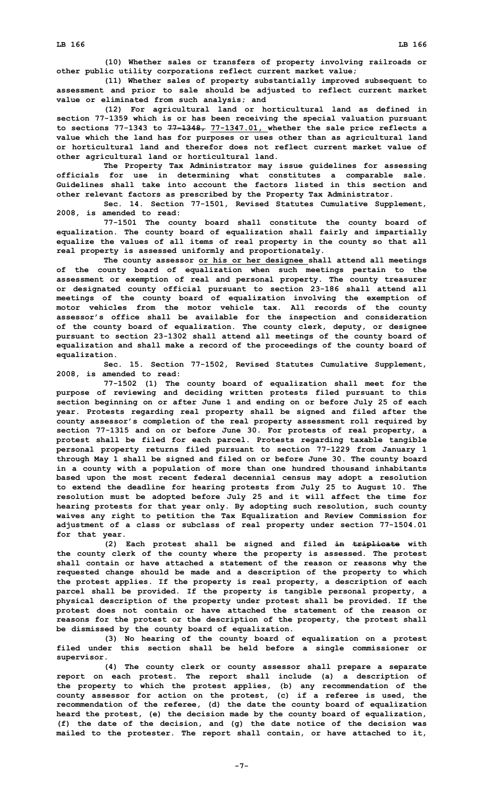**(10) Whether sales or transfers of property involving railroads or other public utility corporations reflect current market value;**

**(11) Whether sales of property substantially improved subsequent to assessment and prior to sale should be adjusted to reflect current market value or eliminated from such analysis; and**

**(12) For agricultural land or horticultural land as defined in section 77-1359 which is or has been receiving the special valuation pursuant to sections 77-1343 to 77-1348, 77-1347.01, whether the sale price reflects <sup>a</sup> value which the land has for purposes or uses other than as agricultural land or horticultural land and therefor does not reflect current market value of other agricultural land or horticultural land.**

**The Property Tax Administrator may issue guidelines for assessing officials for use in determining what constitutes <sup>a</sup> comparable sale. Guidelines shall take into account the factors listed in this section and other relevant factors as prescribed by the Property Tax Administrator.**

**Sec. 14. Section 77-1501, Revised Statutes Cumulative Supplement, 2008, is amended to read:**

**77-1501 The county board shall constitute the county board of equalization. The county board of equalization shall fairly and impartially equalize the values of all items of real property in the county so that all real property is assessed uniformly and proportionately.**

**The county assessor or his or her designee shall attend all meetings of the county board of equalization when such meetings pertain to the assessment or exemption of real and personal property. The county treasurer or designated county official pursuant to section 23-186 shall attend all meetings of the county board of equalization involving the exemption of motor vehicles from the motor vehicle tax. All records of the county assessor's office shall be available for the inspection and consideration of the county board of equalization. The county clerk, deputy, or designee pursuant to section 23-1302 shall attend all meetings of the county board of equalization and shall make <sup>a</sup> record of the proceedings of the county board of equalization.**

**Sec. 15. Section 77-1502, Revised Statutes Cumulative Supplement, 2008, is amended to read:**

**77-1502 (1) The county board of equalization shall meet for the purpose of reviewing and deciding written protests filed pursuant to this section beginning on or after June 1 and ending on or before July 25 of each year. Protests regarding real property shall be signed and filed after the county assessor's completion of the real property assessment roll required by section 77-1315 and on or before June 30. For protests of real property, <sup>a</sup> protest shall be filed for each parcel. Protests regarding taxable tangible personal property returns filed pursuant to section 77-1229 from January 1 through May 1 shall be signed and filed on or before June 30. The county board in <sup>a</sup> county with <sup>a</sup> population of more than one hundred thousand inhabitants based upon the most recent federal decennial census may adopt <sup>a</sup> resolution to extend the deadline for hearing protests from July 25 to August 10. The resolution must be adopted before July 25 and it will affect the time for hearing protests for that year only. By adopting such resolution, such county waives any right to petition the Tax Equalization and Review Commission for adjustment of <sup>a</sup> class or subclass of real property under section 77-1504.01 for that year.**

**(2) Each protest shall be signed and filed in triplicate with the county clerk of the county where the property is assessed. The protest shall contain or have attached <sup>a</sup> statement of the reason or reasons why the requested change should be made and <sup>a</sup> description of the property to which the protest applies. If the property is real property, <sup>a</sup> description of each parcel shall be provided. If the property is tangible personal property, <sup>a</sup> physical description of the property under protest shall be provided. If the protest does not contain or have attached the statement of the reason or reasons for the protest or the description of the property, the protest shall be dismissed by the county board of equalization.**

**(3) No hearing of the county board of equalization on <sup>a</sup> protest filed under this section shall be held before <sup>a</sup> single commissioner or supervisor.**

**(4) The county clerk or county assessor shall prepare <sup>a</sup> separate report on each protest. The report shall include (a) <sup>a</sup> description of the property to which the protest applies, (b) any recommendation of the county assessor for action on the protest, (c) if <sup>a</sup> referee is used, the recommendation of the referee, (d) the date the county board of equalization heard the protest, (e) the decision made by the county board of equalization, (f) the date of the decision, and (g) the date notice of the decision was mailed to the protester. The report shall contain, or have attached to it,**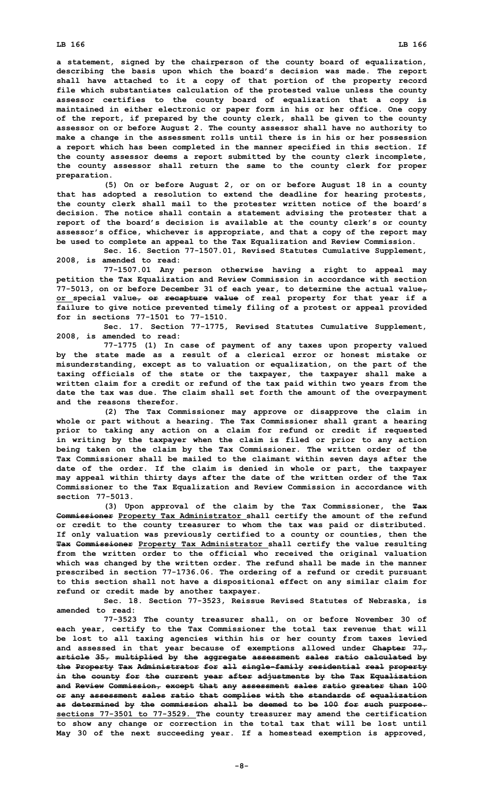**<sup>a</sup> statement, signed by the chairperson of the county board of equalization, describing the basis upon which the board's decision was made. The report shall have attached to it <sup>a</sup> copy of that portion of the property record file which substantiates calculation of the protested value unless the county assessor certifies to the county board of equalization that <sup>a</sup> copy is maintained in either electronic or paper form in his or her office. One copy of the report, if prepared by the county clerk, shall be given to the county assessor on or before August 2. The county assessor shall have no authority to make <sup>a</sup> change in the assessment rolls until there is in his or her possession <sup>a</sup> report which has been completed in the manner specified in this section. If the county assessor deems <sup>a</sup> report submitted by the county clerk incomplete, the county assessor shall return the same to the county clerk for proper preparation.**

**(5) On or before August 2, or on or before August 18 in <sup>a</sup> county that has adopted <sup>a</sup> resolution to extend the deadline for hearing protests, the county clerk shall mail to the protester written notice of the board's decision. The notice shall contain <sup>a</sup> statement advising the protester that <sup>a</sup> report of the board's decision is available at the county clerk's or county assessor's office, whichever is appropriate, and that <sup>a</sup> copy of the report may be used to complete an appeal to the Tax Equalization and Review Commission.**

**Sec. 16. Section 77-1507.01, Revised Statutes Cumulative Supplement, 2008, is amended to read:**

**77-1507.01 Any person otherwise having <sup>a</sup> right to appeal may petition the Tax Equalization and Review Commission in accordance with section 77-5013, on or before December 31 of each year, to determine the actual value, or special value, or recapture value of real property for that year if <sup>a</sup> failure to give notice prevented timely filing of <sup>a</sup> protest or appeal provided for in sections 77-1501 to 77-1510.**

**Sec. 17. Section 77-1775, Revised Statutes Cumulative Supplement, 2008, is amended to read:**

**77-1775 (1) In case of payment of any taxes upon property valued by the state made as <sup>a</sup> result of <sup>a</sup> clerical error or honest mistake or misunderstanding, except as to valuation or equalization, on the part of the taxing officials of the state or the taxpayer, the taxpayer shall make <sup>a</sup> written claim for <sup>a</sup> credit or refund of the tax paid within two years from the date the tax was due. The claim shall set forth the amount of the overpayment and the reasons therefor.**

**(2) The Tax Commissioner may approve or disapprove the claim in whole or part without <sup>a</sup> hearing. The Tax Commissioner shall grant <sup>a</sup> hearing prior to taking any action on <sup>a</sup> claim for refund or credit if requested in writing by the taxpayer when the claim is filed or prior to any action being taken on the claim by the Tax Commissioner. The written order of the Tax Commissioner shall be mailed to the claimant within seven days after the date of the order. If the claim is denied in whole or part, the taxpayer may appeal within thirty days after the date of the written order of the Tax Commissioner to the Tax Equalization and Review Commission in accordance with section 77-5013.**

**(3) Upon approval of the claim by the Tax Commissioner, the Tax Commissioner Property Tax Administrator shall certify the amount of the refund or credit to the county treasurer to whom the tax was paid or distributed. If only valuation was previously certified to <sup>a</sup> county or counties, then the Tax Commissioner Property Tax Administrator shall certify the value resulting from the written order to the official who received the original valuation which was changed by the written order. The refund shall be made in the manner prescribed in section 77-1736.06. The ordering of <sup>a</sup> refund or credit pursuant to this section shall not have <sup>a</sup> dispositional effect on any similar claim for refund or credit made by another taxpayer.**

**Sec. 18. Section 77-3523, Reissue Revised Statutes of Nebraska, is amended to read:**

**77-3523 The county treasurer shall, on or before November 30 of each year, certify to the Tax Commissioner the total tax revenue that will be lost to all taxing agencies within his or her county from taxes levied and assessed in that year because of exemptions allowed under Chapter 77, article 35, multiplied by the aggregate assessment sales ratio calculated by the Property Tax Administrator for all single-family residential real property in the county for the current year after adjustments by the Tax Equalization and Review Commission, except that any assessment sales ratio greater than 100 or any assessment sales ratio that complies with the standards of equalization as determined by the commission shall be deemed to be 100 for such purpose. sections 77-3501 to 77-3529. The county treasurer may amend the certification to show any change or correction in the total tax that will be lost until May 30 of the next succeeding year. If <sup>a</sup> homestead exemption is approved,**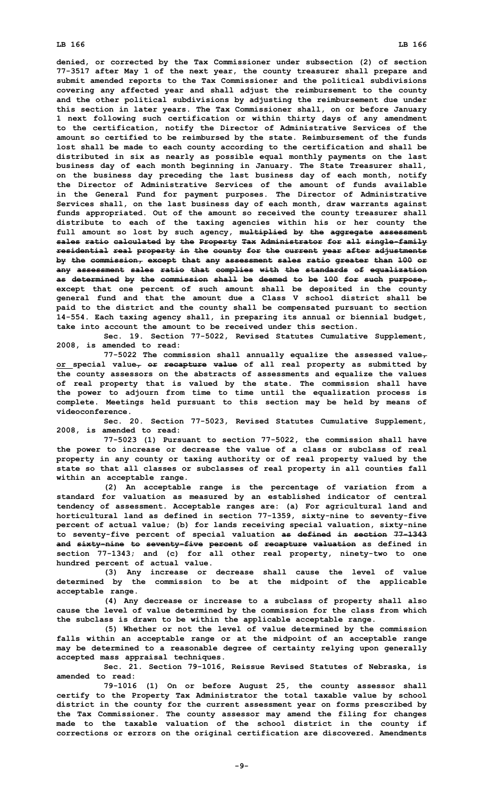## **LB 166 LB 166**

**denied, or corrected by the Tax Commissioner under subsection (2) of section 77-3517 after May 1 of the next year, the county treasurer shall prepare and submit amended reports to the Tax Commissioner and the political subdivisions covering any affected year and shall adjust the reimbursement to the county and the other political subdivisions by adjusting the reimbursement due under this section in later years. The Tax Commissioner shall, on or before January 1 next following such certification or within thirty days of any amendment to the certification, notify the Director of Administrative Services of the amount so certified to be reimbursed by the state. Reimbursement of the funds lost shall be made to each county according to the certification and shall be distributed in six as nearly as possible equal monthly payments on the last business day of each month beginning in January. The State Treasurer shall, on the business day preceding the last business day of each month, notify the Director of Administrative Services of the amount of funds available in the General Fund for payment purposes. The Director of Administrative Services shall, on the last business day of each month, draw warrants against funds appropriated. Out of the amount so received the county treasurer shall distribute to each of the taxing agencies within his or her county the full amount so lost by such agency, multiplied by the aggregate assessment sales ratio calculated by the Property Tax Administrator for all single-family residential real property in the county for the current year after adjustments by the commission, except that any assessment sales ratio greater than 100 or any assessment sales ratio that complies with the standards of equalization as determined by the commission shall be deemed to be 100 for such purpose, except that one percent of such amount shall be deposited in the county general fund and that the amount due <sup>a</sup> Class V school district shall be paid to the district and the county shall be compensated pursuant to section 14-554. Each taxing agency shall, in preparing its annual or biennial budget, take into account the amount to be received under this section.**

**Sec. 19. Section 77-5022, Revised Statutes Cumulative Supplement, 2008, is amended to read:**

**77-5022 The commission shall annually equalize the assessed value, or special value, or recapture value of all real property as submitted by the county assessors on the abstracts of assessments and equalize the values of real property that is valued by the state. The commission shall have the power to adjourn from time to time until the equalization process is complete. Meetings held pursuant to this section may be held by means of videoconference.**

**Sec. 20. Section 77-5023, Revised Statutes Cumulative Supplement, 2008, is amended to read:**

**77-5023 (1) Pursuant to section 77-5022, the commission shall have the power to increase or decrease the value of <sup>a</sup> class or subclass of real property in any county or taxing authority or of real property valued by the state so that all classes or subclasses of real property in all counties fall within an acceptable range.**

**(2) An acceptable range is the percentage of variation from <sup>a</sup> standard for valuation as measured by an established indicator of central tendency of assessment. Acceptable ranges are: (a) For agricultural land and horticultural land as defined in section 77-1359, sixty-nine to seventy-five percent of actual value; (b) for lands receiving special valuation, sixty-nine to seventy-five percent of special valuation as defined in section 77-1343 and sixty-nine to seventy-five percent of recapture valuation as defined in section 77-1343; and (c) for all other real property, ninety-two to one hundred percent of actual value.**

**(3) Any increase or decrease shall cause the level of value determined by the commission to be at the midpoint of the applicable acceptable range.**

**(4) Any decrease or increase to <sup>a</sup> subclass of property shall also cause the level of value determined by the commission for the class from which the subclass is drawn to be within the applicable acceptable range.**

**(5) Whether or not the level of value determined by the commission falls within an acceptable range or at the midpoint of an acceptable range may be determined to <sup>a</sup> reasonable degree of certainty relying upon generally accepted mass appraisal techniques.**

**Sec. 21. Section 79-1016, Reissue Revised Statutes of Nebraska, is amended to read:**

**79-1016 (1) On or before August 25, the county assessor shall certify to the Property Tax Administrator the total taxable value by school district in the county for the current assessment year on forms prescribed by the Tax Commissioner. The county assessor may amend the filing for changes made to the taxable valuation of the school district in the county if corrections or errors on the original certification are discovered. Amendments**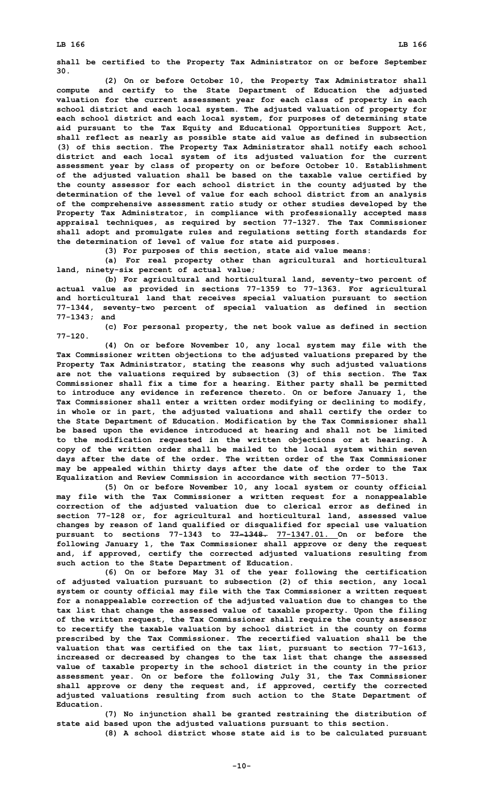**shall be certified to the Property Tax Administrator on or before September 30.**

**(2) On or before October 10, the Property Tax Administrator shall compute and certify to the State Department of Education the adjusted valuation for the current assessment year for each class of property in each school district and each local system. The adjusted valuation of property for each school district and each local system, for purposes of determining state aid pursuant to the Tax Equity and Educational Opportunities Support Act, shall reflect as nearly as possible state aid value as defined in subsection (3) of this section. The Property Tax Administrator shall notify each school district and each local system of its adjusted valuation for the current assessment year by class of property on or before October 10. Establishment of the adjusted valuation shall be based on the taxable value certified by the county assessor for each school district in the county adjusted by the determination of the level of value for each school district from an analysis of the comprehensive assessment ratio study or other studies developed by the Property Tax Administrator, in compliance with professionally accepted mass appraisal techniques, as required by section 77-1327. The Tax Commissioner shall adopt and promulgate rules and regulations setting forth standards for the determination of level of value for state aid purposes.**

**(3) For purposes of this section, state aid value means:**

**(a) For real property other than agricultural and horticultural land, ninety-six percent of actual value;**

**(b) For agricultural and horticultural land, seventy-two percent of actual value as provided in sections 77-1359 to 77-1363. For agricultural and horticultural land that receives special valuation pursuant to section 77-1344, seventy-two percent of special valuation as defined in section 77-1343; and**

**(c) For personal property, the net book value as defined in section 77-120.**

**(4) On or before November 10, any local system may file with the Tax Commissioner written objections to the adjusted valuations prepared by the Property Tax Administrator, stating the reasons why such adjusted valuations are not the valuations required by subsection (3) of this section. The Tax Commissioner shall fix <sup>a</sup> time for <sup>a</sup> hearing. Either party shall be permitted to introduce any evidence in reference thereto. On or before January 1, the Tax Commissioner shall enter <sup>a</sup> written order modifying or declining to modify, in whole or in part, the adjusted valuations and shall certify the order to the State Department of Education. Modification by the Tax Commissioner shall be based upon the evidence introduced at hearing and shall not be limited to the modification requested in the written objections or at hearing. A copy of the written order shall be mailed to the local system within seven days after the date of the order. The written order of the Tax Commissioner may be appealed within thirty days after the date of the order to the Tax Equalization and Review Commission in accordance with section 77-5013.**

**(5) On or before November 10, any local system or county official may file with the Tax Commissioner <sup>a</sup> written request for <sup>a</sup> nonappealable correction of the adjusted valuation due to clerical error as defined in section 77-128 or, for agricultural and horticultural land, assessed value changes by reason of land qualified or disqualified for special use valuation pursuant to sections 77-1343 to 77-1348. 77-1347.01. On or before the following January 1, the Tax Commissioner shall approve or deny the request and, if approved, certify the corrected adjusted valuations resulting from such action to the State Department of Education.**

**(6) On or before May 31 of the year following the certification of adjusted valuation pursuant to subsection (2) of this section, any local system or county official may file with the Tax Commissioner <sup>a</sup> written request for <sup>a</sup> nonappealable correction of the adjusted valuation due to changes to the tax list that change the assessed value of taxable property. Upon the filing of the written request, the Tax Commissioner shall require the county assessor to recertify the taxable valuation by school district in the county on forms prescribed by the Tax Commissioner. The recertified valuation shall be the valuation that was certified on the tax list, pursuant to section 77-1613, increased or decreased by changes to the tax list that change the assessed value of taxable property in the school district in the county in the prior assessment year. On or before the following July 31, the Tax Commissioner shall approve or deny the request and, if approved, certify the corrected adjusted valuations resulting from such action to the State Department of Education.**

**(7) No injunction shall be granted restraining the distribution of state aid based upon the adjusted valuations pursuant to this section.**

**(8) <sup>A</sup> school district whose state aid is to be calculated pursuant**